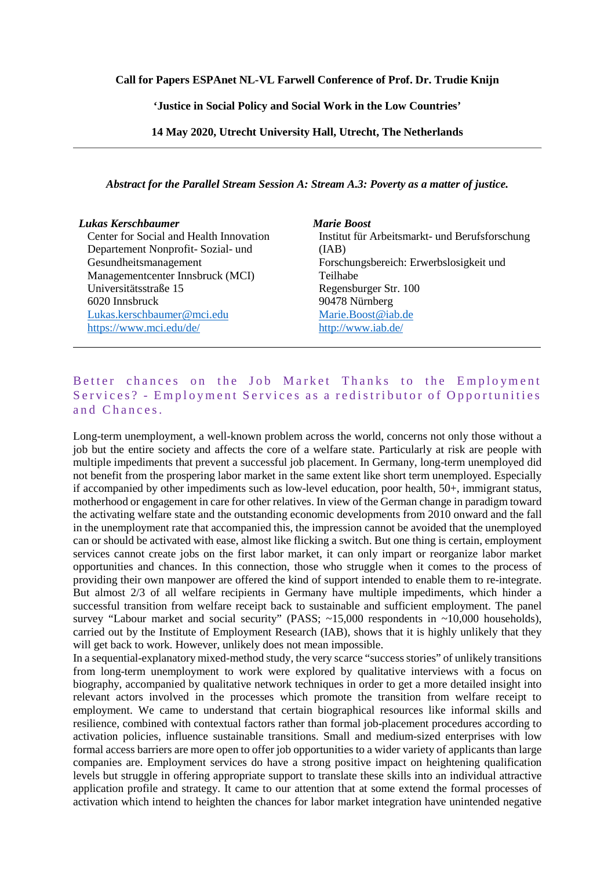## **Call for Papers ESPAnet NL-VL Farwell Conference of Prof. Dr. Trudie Knijn**

**'Justice in Social Policy and Social Work in the Low Countries'**

**14 May 2020, Utrecht University Hall, Utrecht, The Netherlands**

*Abstract for the Parallel Stream Session A: Stream A.3: Poverty as a matter of justice.*

## *Lukas Kerschbaumer*

Center for Social and Health Innovation Departement Nonprofit- Sozial- und Gesundheitsmanagement Managementcenter Innsbruck (MCI) Universitätsstraße 15 6020 Innsbruck [Lukas.kerschbaumer@mci.edu](mailto:Lukas.kerschbaumer@mci.edu) <https://www.mci.edu/de/>

*Marie Boost* Institut für Arbeitsmarkt- und Berufsforschung (IAB) Forschungsbereich: Erwerbslosigkeit und Teilhabe Regensburger Str. 100 90478 Nürnberg [Marie.Boost@iab.de](mailto:Marie.Boost@iab.de) <http://www.iab.de/>

## Better chances on the Job Market Thanks to the Employment Services? - Employment Services as a redistributor of Opportunities and Chances.

Long-term unemployment, a well-known problem across the world, concerns not only those without a job but the entire society and affects the core of a welfare state. Particularly at risk are people with multiple impediments that prevent a successful job placement. In Germany, long-term unemployed did not benefit from the prospering labor market in the same extent like short term unemployed. Especially if accompanied by other impediments such as low-level education, poor health, 50+, immigrant status, motherhood or engagement in care for other relatives. In view of the German change in paradigm toward the activating welfare state and the outstanding economic developments from 2010 onward and the fall in the unemployment rate that accompanied this, the impression cannot be avoided that the unemployed can or should be activated with ease, almost like flicking a switch. But one thing is certain, employment services cannot create jobs on the first labor market, it can only impart or reorganize labor market opportunities and chances. In this connection, those who struggle when it comes to the process of providing their own manpower are offered the kind of support intended to enable them to re-integrate. But almost 2/3 of all welfare recipients in Germany have multiple impediments, which hinder a successful transition from welfare receipt back to sustainable and sufficient employment. The panel survey "Labour market and social security" (PASS; ~15,000 respondents in ~10,000 households), carried out by the Institute of Employment Research (IAB), shows that it is highly unlikely that they will get back to work. However, unlikely does not mean impossible.

In a sequential-explanatory mixed-method study, the very scarce "success stories" of unlikely transitions from long-term unemployment to work were explored by qualitative interviews with a focus on biography, accompanied by qualitative network techniques in order to get a more detailed insight into relevant actors involved in the processes which promote the transition from welfare receipt to employment. We came to understand that certain biographical resources like informal skills and resilience, combined with contextual factors rather than formal job-placement procedures according to activation policies, influence sustainable transitions. Small and medium-sized enterprises with low formal access barriers are more open to offer job opportunities to a wider variety of applicants than large companies are. Employment services do have a strong positive impact on heightening qualification levels but struggle in offering appropriate support to translate these skills into an individual attractive application profile and strategy. It came to our attention that at some extend the formal processes of activation which intend to heighten the chances for labor market integration have unintended negative